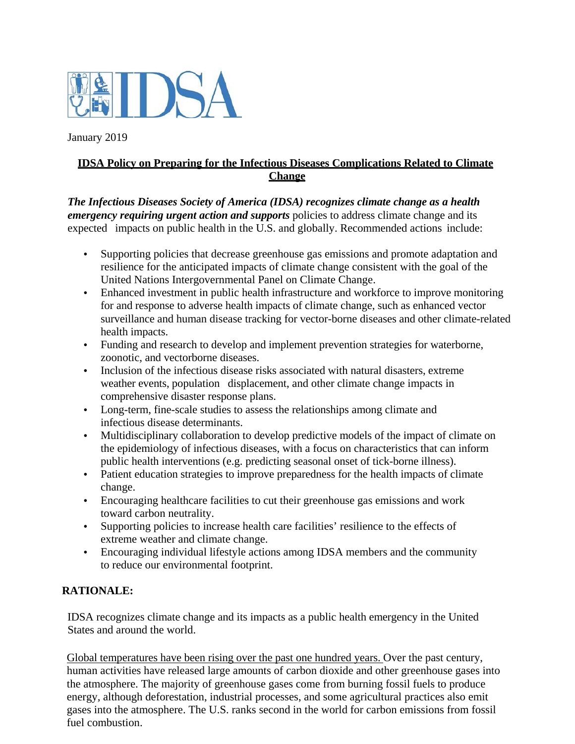

January 2019

# **IDSA Policy on Preparing for the Infectious Diseases Complications Related to Climate Change**

*The Infectious Diseases Society of America (IDSA) recognizes climate change as a health emergency requiring urgent action and supports policies to address climate change and its* expected impacts on public health in the U.S. and globally. Recommended actions include:

- Supporting policies that decrease greenhouse gas emissions and promote adaptation and resilience for the anticipated impacts of climate change consistent with the goal of the United Nations Intergovernmental Panel on Climate Change.
- Enhanced investment in public health infrastructure and workforce to improve monitoring for and response to adverse health impacts of climate change, such as enhanced vector surveillance and human disease tracking for vector-borne diseases and other climate-related health impacts.
- Funding and research to develop and implement prevention strategies for waterborne, zoonotic, and vectorborne diseases.
- Inclusion of the infectious disease risks associated with natural disasters, extreme weather events, population displacement, and other climate change impacts in comprehensive disaster response plans.
- Long-term, fine-scale studies to assess the relationships among climate and infectious disease determinants.
- Multidisciplinary collaboration to develop predictive models of the impact of climate on the epidemiology of infectious diseases, with a focus on characteristics that can inform public health interventions (e.g. predicting seasonal onset of tick-borne illness).
- Patient education strategies to improve preparedness for the health impacts of climate change.
- Encouraging healthcare facilities to cut their greenhouse gas emissions and work toward carbon neutrality.
- Supporting policies to increase health care facilities' resilience to the effects of extreme weather and climate change.
- Encouraging individual lifestyle actions among IDSA members and the community to reduce our environmental footprint.

# **RATIONALE:**

IDSA recognizes climate change and its impacts as a public health emergency in the United States and around the world.

Global temperatures have been rising over the past one hundred years. Over the past century, human activities have released large amounts of carbon dioxide and other greenhouse gases into the atmosphere. The majority of greenhouse gases come from burning fossil fuels to produce energy, although deforestation, industrial processes, and some agricultural practices also emit gases into the atmosphere. The U.S. ranks second in the world for carbon emissions from fossil fuel combustion.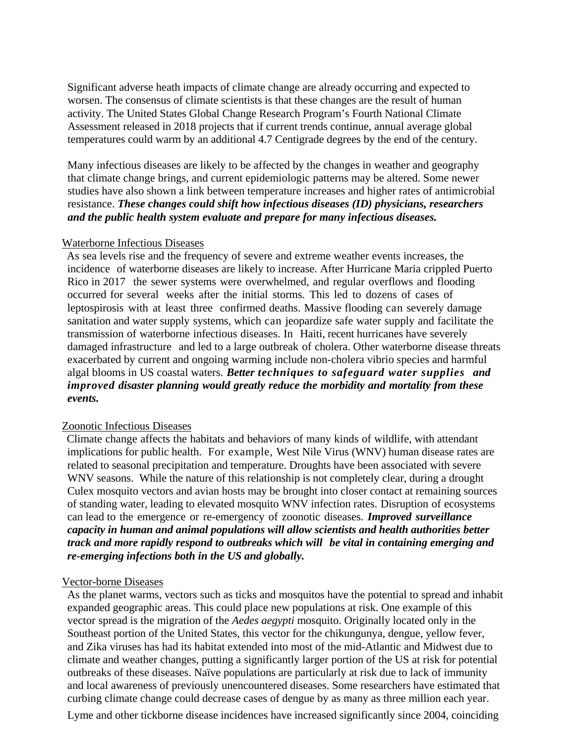Significant adverse heath impacts of climate change are already occurring and expected to worsen. The consensus of climate scientists is that these changes are the result of human activity. The United States Global Change Research Program's Fourth National Climate Assessment released in 2018 projects that if current trends continue, annual average global temperatures could warm by an additional 4.7 Centigrade degrees by the end of the century.

Many infectious diseases are likely to be affected by the changes in weather and geography that climate change brings, and current epidemiologic patterns may be altered. Some newer studies have also shown a link between temperature increases and higher rates of antimicrobial resistance. *These changes could shift how infectious diseases (ID) physicians, researchers and the public health system evaluate and prepare for many infectious diseases.*

#### Waterborne Infectious Diseases

As sea levels rise and the frequency of severe and extreme weather events increases, the incidence of waterborne diseases are likely to increase. After Hurricane Maria crippled Puerto Rico in 2017 the sewer systems were overwhelmed, and regular overflows and flooding occurred for several weeks after the initial storms. This led to dozens of cases of leptospirosis with at least three confirmed deaths. Massive flooding can severely damage sanitation and water supply systems, which can jeopardize safe water supply and facilitate the transmission of waterborne infectious diseases. In Haiti, recent hurricanes have severely damaged infrastructure and led to a large outbreak of cholera. Other waterborne disease threats exacerbated by current and ongoing warming include non-cholera vibrio species and harmful algal blooms in US coastal waters. *Better techniques to safeguard water supplies and improved disaster planning would greatly reduce the morbidity and mortality from these events.* 

#### Zoonotic Infectious Diseases

Climate change affects the habitats and behaviors of many kinds of wildlife, with attendant implications for public health. For example, West Nile Virus (WNV) human disease rates are related to seasonal precipitation and temperature. Droughts have been associated with severe WNV seasons. While the nature of this relationship is not completely clear, during a drought Culex mosquito vectors and avian hosts may be brought into closer contact at remaining sources of standing water, leading to elevated mosquito WNV infection rates. Disruption of ecosystems can lead to the emergence or re-emergency of zoonotic diseases. *Improved surveillance capacity in human and animal populations will allow scientists and health authorities better track and more rapidly respond to outbreaks which will be vital in containing emerging and re-emerging infections both in the US and globally.*

#### Vector-borne Diseases

As the planet warms, vectors such as ticks and mosquitos have the potential to spread and inhabit expanded geographic areas. This could place new populations at risk. One example of this vector spread is the migration of the *Aedes aegypti* mosquito. Originally located only in the Southeast portion of the United States, this vector for the chikungunya, dengue, yellow fever, and Zika viruses has had its habitat extended into most of the mid-Atlantic and Midwest due to climate and weather changes, putting a significantly larger portion of the US at risk for potential outbreaks of these diseases. Naïve populations are particularly at risk due to lack of immunity and local awareness of previously unencountered diseases. Some researchers have estimated that curbing climate change could decrease cases of dengue by as many as three million each year.

Lyme and other tickborne disease incidences have increased significantly since 2004, coinciding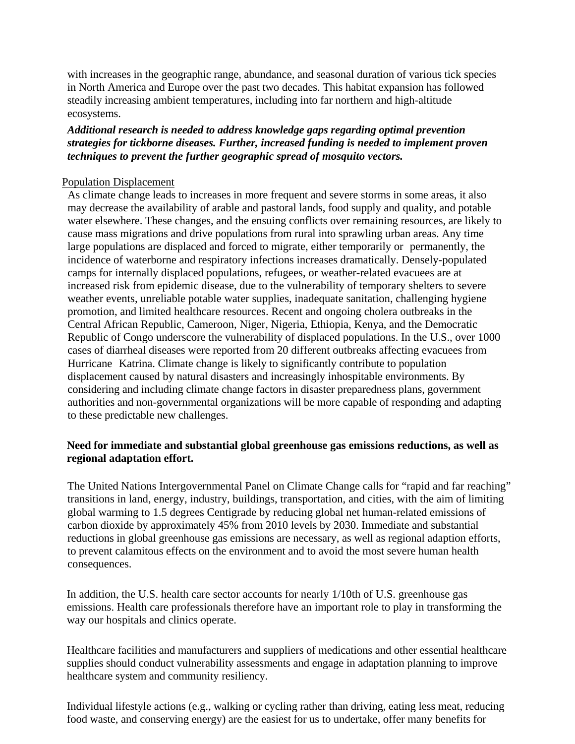with increases in the geographic range, abundance, and seasonal duration of various tick species in North America and Europe over the past two decades. This habitat expansion has followed steadily increasing ambient temperatures, including into far northern and high-altitude ecosystems.

### *Additional research is needed to address knowledge gaps regarding optimal prevention strategies for tickborne diseases. Further, increased funding is needed to implement proven techniques to prevent the further geographic spread of mosquito vectors.*

### Population Displacement

As climate change leads to increases in more frequent and severe storms in some areas, it also may decrease the availability of arable and pastoral lands, food supply and quality, and potable water elsewhere. These changes, and the ensuing conflicts over remaining resources, are likely to cause mass migrations and drive populations from rural into sprawling urban areas. Any time large populations are displaced and forced to migrate, either temporarily or permanently, the incidence of waterborne and respiratory infections increases dramatically. Densely-populated camps for internally displaced populations, refugees, or weather-related evacuees are at increased risk from epidemic disease, due to the vulnerability of temporary shelters to severe weather events, unreliable potable water supplies, inadequate sanitation, challenging hygiene promotion, and limited healthcare resources. Recent and ongoing cholera outbreaks in the Central African Republic, Cameroon, Niger, Nigeria, Ethiopia, Kenya, and the Democratic Republic of Congo underscore the vulnerability of displaced populations. In the U.S., over 1000 cases of diarrheal diseases were reported from 20 different outbreaks affecting evacuees from Hurricane Katrina. Climate change is likely to significantly contribute to population displacement caused by natural disasters and increasingly inhospitable environments. By considering and including climate change factors in disaster preparedness plans, government authorities and non-governmental organizations will be more capable of responding and adapting to these predictable new challenges.

## **Need for immediate and substantial global greenhouse gas emissions reductions, as well as regional adaptation effort.**

The United Nations Intergovernmental Panel on Climate Change calls for "rapid and far reaching" transitions in land, energy, industry, buildings, transportation, and cities, with the aim of limiting global warming to 1.5 degrees Centigrade by reducing global net human-related emissions of carbon dioxide by approximately 45% from 2010 levels by 2030. Immediate and substantial reductions in global greenhouse gas emissions are necessary, as well as regional adaption efforts, to prevent calamitous effects on the environment and to avoid the most severe human health consequences.

In addition, the U.S. health care sector accounts for nearly 1/10th of U.S. greenhouse gas emissions. Health care professionals therefore have an important role to play in transforming the way our hospitals and clinics operate.

Healthcare facilities and manufacturers and suppliers of medications and other essential healthcare supplies should conduct vulnerability assessments and engage in adaptation planning to improve healthcare system and community resiliency.

Individual lifestyle actions (e.g., walking or cycling rather than driving, eating less meat, reducing food waste, and conserving energy) are the easiest for us to undertake, offer many benefits for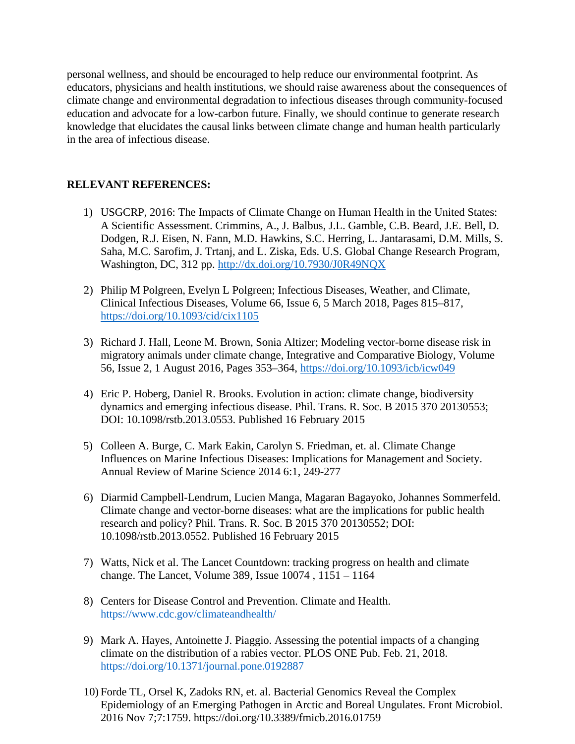personal wellness, and should be encouraged to help reduce our environmental footprint. As educators, physicians and health institutions, we should raise awareness about the consequences of climate change and environmental degradation to infectious diseases through community-focused education and advocate for a low-carbon future. Finally, we should continue to generate research knowledge that elucidates the causal links between climate change and human health particularly in the area of infectious disease.

### **RELEVANT REFERENCES:**

- 1) USGCRP, 2016: The Impacts of Climate Change on Human Health in the United States: A Scientific Assessment. Crimmins, A., J. Balbus, J.L. Gamble, C.B. Beard, J.E. Bell, D. Dodgen, R.J. Eisen, N. Fann, M.D. Hawkins, S.C. Herring, L. Jantarasami, D.M. Mills, S. Saha, M.C. Sarofim, J. Trtanj, and L. Ziska, Eds. U.S. Global Change Research Program, Washington, DC, 312 pp.<http://dx.doi.org/10.7930/J0R49NQX>
- 2) Philip M Polgreen, Evelyn L Polgreen; Infectious Diseases, Weather, and Climate, Clinical Infectious Diseases, Volume 66, Issue 6, 5 March 2018, Pages 815–817, <https://doi.org/10.1093/cid/cix1105>
- 3) Richard J. Hall, Leone M. Brown, Sonia Altizer; Modeling vector-borne disease risk in migratory animals under climate change, Integrative and Comparative Biology, Volume 56, Issue 2, 1 August 2016, Pages 353–364,<https://doi.org/10.1093/icb/icw049>
- 4) Eric P. Hoberg, Daniel R. Brooks. Evolution in action: climate change, biodiversity dynamics and emerging infectious disease. Phil. Trans. R. Soc. B 2015 370 20130553; DOI: 10.1098/rstb.2013.0553. Published 16 February 2015
- 5) Colleen A. Burge, C. Mark Eakin, Carolyn S. Friedman, et. al. Climate Change Influences on Marine Infectious Diseases: Implications for Management and Society. Annual Review of Marine Science 2014 6:1, 249-277
- 6) Diarmid Campbell-Lendrum, Lucien Manga, Magaran Bagayoko, Johannes Sommerfeld. Climate change and vector-borne diseases: what are the implications for public health research and policy? Phil. Trans. R. Soc. B 2015 370 20130552; DOI: 10.1098/rstb.2013.0552. Published 16 February 2015
- 7) Watts, Nick et al. The Lancet Countdown: tracking progress on health and climate change. The Lancet, Volume 389, Issue 10074 , 1151 – 1164
- 8) Centers for Disease Control and Prevention. Climate and Health. <https://www.cdc.gov/climateandhealth/>
- 9) Mark A. Hayes, Antoinette J. Piaggio. Assessing the potential impacts of a changing climate on the distribution of a rabies vector. PLOS ONE Pub. Feb. 21, 2018. <https://doi.org/10.1371/journal.pone.0192887>
- 10) Forde TL, Orsel K, Zadoks RN, et. al. Bacterial Genomics Reveal the Complex Epidemiology of an Emerging Pathogen in Arctic and Boreal Ungulates. Front Microbiol. 2016 Nov 7;7:1759. https://doi.org/10.3389/fmicb.2016.01759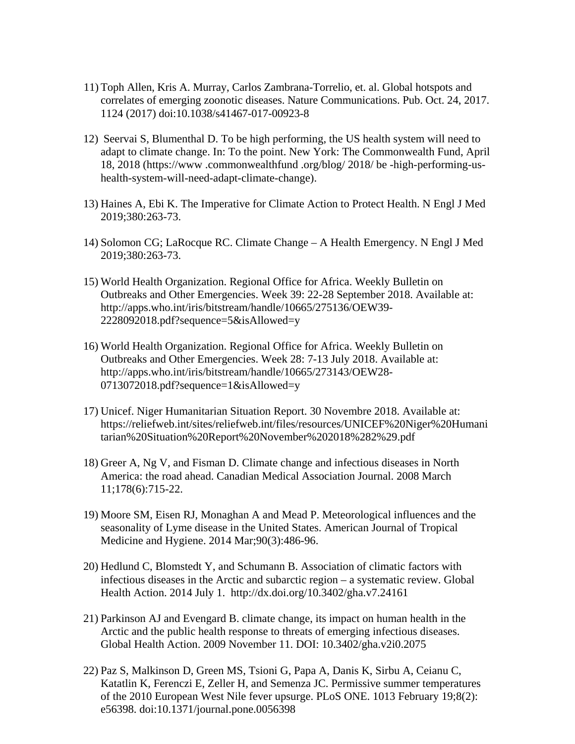- 11) Toph Allen, Kris A. Murray, Carlos Zambrana-Torrelio, et. al. Global hotspots and correlates of emerging zoonotic diseases. Nature Communications. Pub. Oct. 24, 2017. 1124 (2017) doi:10.1038/s41467-017-00923-8
- 12) Seervai S, Blumenthal D. To be high performing, the US health system will need to adapt to climate change. In: To the point. New York: The Commonwealth Fund, April 18, 2018 (https://www .commonwealthfund .org/blog/ 2018/ be -high-performing-ushealth-system-will-need-adapt-climate-change).
- 13) Haines A, Ebi K. The Imperative for Climate Action to Protect Health. N Engl J Med 2019;380:263-73.
- 14) Solomon CG; LaRocque RC. Climate Change A Health Emergency. N Engl J Med 2019;380:263-73.
- 15) World Health Organization. Regional Office for Africa. Weekly Bulletin on Outbreaks and Other Emergencies. Week 39: 22-28 September 2018. Available at: http://apps.who.int/iris/bitstream/handle/10665/275136/OEW39- 2228092018.pdf?sequence=5&isAllowed=y
- 16) World Health Organization. Regional Office for Africa. Weekly Bulletin on Outbreaks and Other Emergencies. Week 28: 7-13 July 2018. Available at: http://apps.who.int/iris/bitstream/handle/10665/273143/OEW28- 0713072018.pdf?sequence=1&isAllowed=y
- 17) Unicef. Niger Humanitarian Situation Report. 30 Novembre 2018. Available at: https://reliefweb.int/sites/reliefweb.int/files/resources/UNICEF%20Niger%20Humani tarian%20Situation%20Report%20November%202018%282%29.pdf
- 18) Greer A, Ng V, and Fisman D. Climate change and infectious diseases in North America: the road ahead. Canadian Medical Association Journal. 2008 March 11;178(6):715-22.
- 19) Moore SM, Eisen RJ, Monaghan A and Mead P. Meteorological influences and the seasonality of Lyme disease in the United States. American Journal of Tropical Medicine and Hygiene. 2014 Mar;90(3):486-96.
- 20) Hedlund C, Blomstedt Y, and Schumann B. Association of climatic factors with infectious diseases in the Arctic and subarctic region – a systematic review. Global Health Action. 2014 July 1. http://dx.doi.org/10.3402/gha.v7.24161
- 21) Parkinson AJ and Evengard B. climate change, its impact on human health in the Arctic and the public health response to threats of emerging infectious diseases. Global Health Action. 2009 November 11. DOI: 10.3402/gha.v2i0.2075
- 22) Paz S, Malkinson D, Green MS, Tsioni G, Papa A, Danis K, Sirbu A, Ceianu C, Katatlin K, Ferenczi E, Zeller H, and Semenza JC. Permissive summer temperatures of the 2010 European West Nile fever upsurge. PLoS ONE. 1013 February 19;8(2): e56398. doi:10.1371/journal.pone.0056398